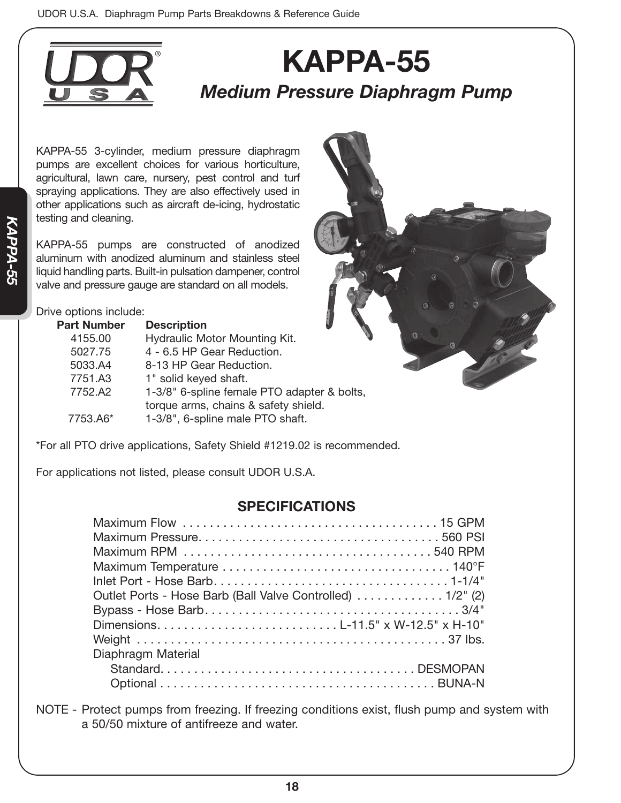

## **KAPPA-55** *Medium Pressure Diaphragm Pump*

KAPPA-55 3-cylinder, medium pressure diaphragm pumps are excellent choices for various horticulture, agricultural, lawn care, nursery, pest control and turf spraying applications. They are also effectively used in other applications such as aircraft de-icing, hydrostatic testing and cleaning.

KAPPA-55 pumps are constructed of anodized aluminum with anodized aluminum and stainless steel liquid handling parts. Built-in pulsation dampener, control valve and pressure gauge are standard on all models.

## Drive options include:

| 1-3/8" 6-spline female PTO adapter & bolts,<br>torque arms, chains & safety shield.<br>1-3/8", 6-spline male PTO shaft. |  |
|-------------------------------------------------------------------------------------------------------------------------|--|

\*For all PTO drive applications, Safety Shield #1219.02 is recommended.

For applications not listed, please consult UDOR U.S.A.

## **SPECIFICATIONS**

NOTE - Protect pumps from freezing. If freezing conditions exist, flush pump and system with a 50/50 mixture of antifreeze and water.